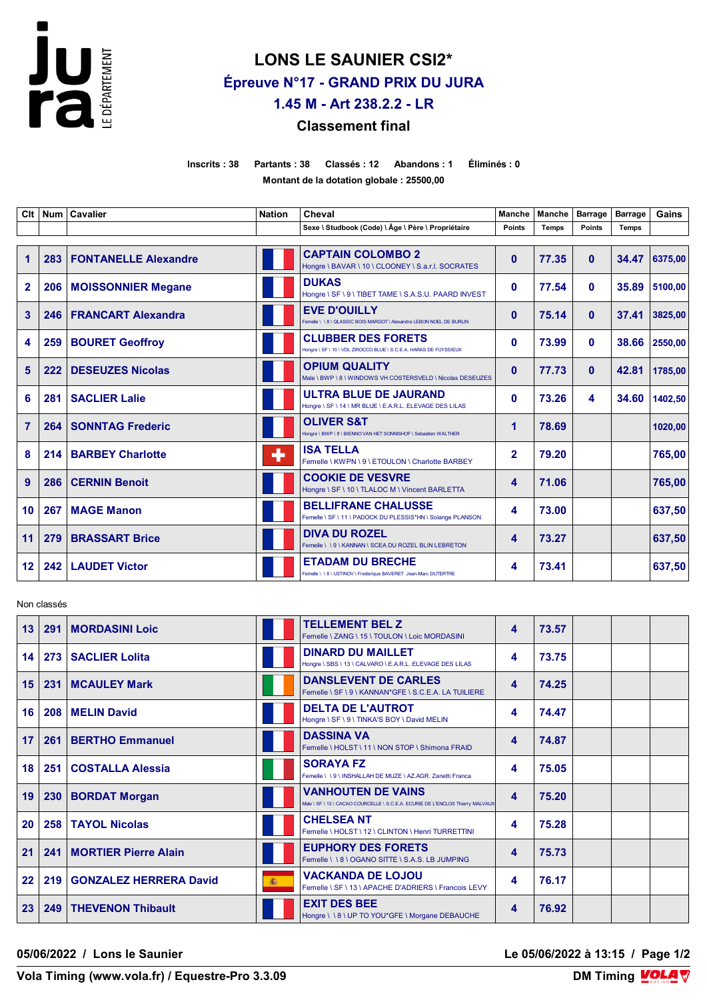

## **LONS LE SAUNIER CSI2\* Épreuve N°17 - GRAND PRIX DU JURA 1.45 M - Art 238.2.2 - LR**

## **Classement final**

**Inscrits : 38 Partants : 38 Classés : 12 Abandons : 1 Éliminés : 0 Montant de la dotation globale : 25500,00**

| CIt             |     | Num   Cavalier              | <b>Nation</b> | Cheval                                                                                         | <b>Manche</b>  | <b>Manche</b> | <b>Barrage</b> | <b>Barrage</b> | Gains         |
|-----------------|-----|-----------------------------|---------------|------------------------------------------------------------------------------------------------|----------------|---------------|----------------|----------------|---------------|
|                 |     |                             |               | Sexe \ Studbook (Code) \ Âge \ Père \ Propriétaire                                             | <b>Points</b>  | <b>Temps</b>  | <b>Points</b>  | <b>Temps</b>   |               |
| $\overline{1}$  | 283 | <b>FONTANELLE Alexandre</b> |               | <b>CAPTAIN COLOMBO 2</b><br>Hongre \ BAVAR \ 10 \ CLOONEY \ S.a.r.l. SOCRATES                  | $\mathbf{0}$   | 77.35         | $\mathbf{0}$   | 34.47          | 6375,00       |
| $\overline{2}$  |     | 206   MOISSONNIER Megane    |               | <b>DUKAS</b><br>Hongre \ SF \ 9 \ TIBET TAME \ S.A.S.U. PAARD INVEST                           | $\mathbf{0}$   | 77.54         | $\mathbf{0}$   | 35.89          | 5100,00       |
| 3               | 246 | <b>FRANCART Alexandra</b>   |               | <b>EVE D'OUILLY</b><br>Femelle \\8\QLASSIC BOIS MARGOT\Alexandra LEBON NOEL DE BURLIN          | $\mathbf{0}$   | 75.14         | $\mathbf{0}$   | 37.41          | 3825,00       |
| 4               | 259 | <b>BOURET Geoffroy</b>      |               | <b>CLUBBER DES FORETS</b><br>Hongre \ SF \ 10 \ VDL ZIROCCO BLUE \ S.C.E.A. HARAS DE FUYSSIEUX | $\mathbf{0}$   | 73.99         | $\mathbf{0}$   |                | 38.66 2550,00 |
| 5               | 222 | <b>DESEUZES Nicolas</b>     |               | <b>OPIUM QUALITY</b><br>Male \BWP \8 \WINDOWS VH COSTERSVELD \Nicolas DESEUZES                 | $\mathbf{0}$   | 77.73         | $\mathbf{0}$   | 42.81          | 1785,00       |
| 6               | 281 | <b>SACLIER Lalie</b>        |               | <b>ULTRA BLUE DE JAURAND</b><br>Hongre \ SF \ 14 \ MR BLUE \ E.A.R.L. ELEVAGE DES LILAS        | $\mathbf{0}$   | 73.26         | 4              | 34.60          | 1402.50       |
| $\overline{7}$  | 264 | <b>SONNTAG Frederic</b>     |               | <b>OLIVER S&amp;T</b><br>Hongre \ BWP \ 8 \ BIENNO VAN HET SONNISHOF \ Sebastien WALTHER       | 1              | 78.69         |                |                | 1020,00       |
| 8               | 214 | <b>BARBEY Charlotte</b>     | ٠             | <b>ISA TELLA</b><br>Femelle \ KWPN \ 9 \ ETOULON \ Charlotte BARBEY                            | $\overline{2}$ | 79.20         |                |                | 765,00        |
| 9               | 286 | <b>CERNIN Benoit</b>        |               | <b>COOKIE DE VESVRE</b><br>Hongre \ SF \ 10 \ TLALOC M \ Vincent BARLETTA                      | 4              | 71.06         |                |                | 765,00        |
| 10              | 267 | <b>MAGE Manon</b>           |               | <b>BELLIFRANE CHALUSSE</b><br>Femelle \ SF \ 11 \ PADOCK DU PLESSIS*HN \ Solange PLANSON       | 4              | 73.00         |                |                | 637,50        |
| 11              | 279 | <b>BRASSART Brice</b>       |               | <b>DIVA DU ROZEL</b><br>Femelle \\9\KANNAN\SCEA DU ROZEL BLIN LEBRETON                         | 4              | 73.27         |                |                | 637,50        |
| 12 <sub>2</sub> |     | 242   LAUDET Victor         |               | <b>ETADAM DU BRECHE</b><br>Femelle \ \ 8 \ USTINOV \ Frederique BAVERET Jean-Marc DUTERTRE     | 4              | 73.41         |                |                | 637.50        |

Non classés

| 13 <sup>°</sup> |     | 291   MORDASINI Loic          |   | <b>TELLEMENT BEL Z</b><br>Femelle \ ZANG \ 15 \ TOULON \ Loic MORDASINI                                     | 4 | 73.57 |  |  |
|-----------------|-----|-------------------------------|---|-------------------------------------------------------------------------------------------------------------|---|-------|--|--|
| 14              |     | 273   SACLIER Lolita          |   | <b>DINARD DU MAILLET</b><br>Hongre \ SBS \ 13 \ CALVARO \ E.A.R.L. ELEVAGE DES LILAS                        | 4 | 73.75 |  |  |
| 15 <sup>1</sup> |     | 231   MCAULEY Mark            |   | <b>DANSLEVENT DE CARLES</b><br>Femelle \ SF \ 9 \ KANNAN*GFE \ S.C.E.A. LA TUILIERE                         | 4 | 74.25 |  |  |
| 16              |     | 208   MELIN David             |   | <b>DELTA DE L'AUTROT</b><br>Hongre \ SF \ 9 \ TINKA'S BOY \ David MELIN                                     | 4 | 74.47 |  |  |
| 17              |     | 261   BERTHO Emmanuel         |   | <b>DASSINA VA</b><br>Femelle \ HOLST \ 11 \ NON STOP \ Shimona FRAID                                        | 4 | 74.87 |  |  |
| 18              |     | 251   COSTALLA Alessia        |   | <b>SORAYA FZ</b><br>Femelle \\9\INSHALLAH DE MUZE \AZ.AGR. Zanetti Franca                                   | 4 | 75.05 |  |  |
| 19              |     | 230   BORDAT Morgan           |   | <b>VANHOUTEN DE VAINS</b><br>Male \ SF \ 13 \ CACAO COURCELLE \ S.C.E.A. ECURIE DE L'ENCLOS Thierry MALVAUX | 4 | 75.20 |  |  |
| 20              |     | 258   TAYOL Nicolas           |   | <b>CHELSEA NT</b><br>Femelle \ HOLST \ 12 \ CLINTON \ Henri TURRETTINI                                      | 4 | 75.28 |  |  |
| 21              |     | 241   MORTIER Pierre Alain    |   | <b>EUPHORY DES FORETS</b><br>Femelle \\8\OGANO SITTE \S.A.S. LB JUMPING                                     | 4 | 75.73 |  |  |
| $22 \,$         | 219 | <b>GONZALEZ HERRERA David</b> | 癫 | <b>VACKANDA DE LOJOU</b><br>Femelle \ SF \ 13 \ APACHE D'ADRIERS \ Francois LEVY                            | 4 | 76.17 |  |  |
| 23 <sup>°</sup> |     | 249   THEVENON Thibault       |   | <b>EXIT DES BEE</b><br>Hongre \\8\UP TO YOU*GFE \ Morgane DEBAUCHE                                          | 4 | 76.92 |  |  |

**05/06/2022 / Lons le Saunier Le 05/06/2022 à 13:15 / Page 1/2**

**Vola Timing (www.vola.fr) / Equestre-Pro 3.3.09**